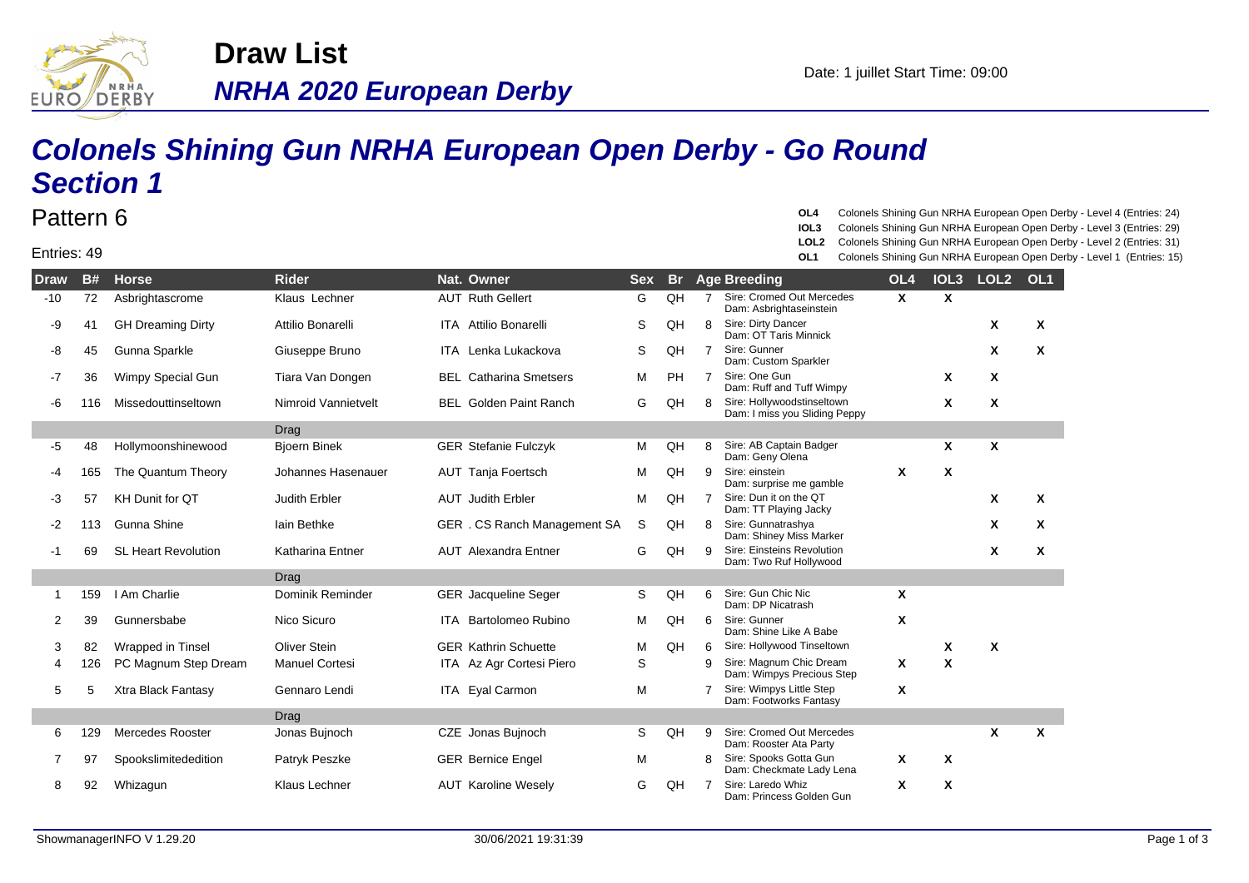

**NRHA 2020 European Derby Draw List**

## **Colonels Shining Gun NRHA European Open Derby - Go Round Section 1**

## Pattern 6

Entries: 49

**OL4** Colonels Shining Gun NRHA European Open Derby - Level 4 (Entries: 24)

- **IOL3** Colonels Shining Gun NRHA European Open Derby Level 3 (Entries: 29)
- **LOL2** Colonels Shining Gun NRHA European Open Derby Level 2 (Entries: 31)
- **OL1** Colonels Shining Gun NRHA European Open Derby Level 1 (Entries: 15)

| <b>Draw</b> | <b>B#</b> | <b>Horse</b>               | <b>Rider</b>          | Nat. Owner                    | <b>Sex</b> | <b>Br</b> |                | <b>Age Breeding</b>                                         | OL <sub>4</sub> | IOL <sub>3</sub> | LOL <sub>2</sub> | OL <sub>1</sub> |
|-------------|-----------|----------------------------|-----------------------|-------------------------------|------------|-----------|----------------|-------------------------------------------------------------|-----------------|------------------|------------------|-----------------|
| $-10$       | 72        | Asbrightascrome            | Klaus Lechner         | <b>AUT Ruth Gellert</b>       | G          | QH        | $\overline{7}$ | Sire: Cromed Out Mercedes<br>Dam: Asbrightaseinstein        | X               | X                |                  |                 |
| -9          | 41        | <b>GH Dreaming Dirty</b>   | Attilio Bonarelli     | <b>ITA</b> Attilio Bonarelli  | S          | QH        | 8              | Sire: Dirty Dancer<br>Dam: OT Taris Minnick                 |                 |                  | X                | X               |
| -8          | 45        | Gunna Sparkle              | Giuseppe Bruno        | ITA Lenka Lukackova           | S          | QH        | $\overline{7}$ | Sire: Gunner<br>Dam: Custom Sparkler                        |                 |                  | X                | X               |
| -7          | 36        | Wimpy Special Gun          | Tiara Van Dongen      | <b>BEL Catharina Smetsers</b> | м          | <b>PH</b> | $\overline{7}$ | Sire: One Gun<br>Dam: Ruff and Tuff Wimpy                   |                 | X                | X                |                 |
| -6          | 116       | Missedouttinseltown        | Nimroid Vannietvelt   | <b>BEL</b> Golden Paint Ranch | G          | QH        | 8              | Sire: Hollywoodstinseltown<br>Dam: I miss you Sliding Peppy |                 | X                | X                |                 |
|             |           |                            | Drag                  |                               |            |           |                |                                                             |                 |                  |                  |                 |
| -5          | 48        | Hollymoonshinewood         | <b>Bioern Binek</b>   | <b>GER Stefanie Fulczyk</b>   | м          | QH        | 8              | Sire: AB Captain Badger<br>Dam: Geny Olena                  |                 | X                | $\boldsymbol{x}$ |                 |
| -4          | 165       | The Quantum Theory         | Johannes Hasenauer    | <b>AUT</b> Tanja Foertsch     | М          | QH        | 9              | Sire: einstein<br>Dam: surprise me gamble                   | X               | X                |                  |                 |
| -3          | 57        | <b>KH Dunit for QT</b>     | <b>Judith Erbler</b>  | <b>AUT</b> Judith Erbler      | М          | QH        | $\overline{7}$ | Sire: Dun it on the QT<br>Dam: TT Playing Jacky             |                 |                  | X                | X               |
| $-2$        | 113       | Gunna Shine                | lain Bethke           | GER . CS Ranch Management SA  | S          | QH        | 8              | Sire: Gunnatrashya<br>Dam: Shiney Miss Marker               |                 |                  | X                | X               |
| -1          | 69        | <b>SL Heart Revolution</b> | Katharina Entner      | <b>AUT</b> Alexandra Entner   | G          | QH        | 9              | Sire: Einsteins Revolution<br>Dam: Two Ruf Hollywood        |                 |                  | X                | X               |
|             |           |                            | Drag                  |                               |            |           |                |                                                             |                 |                  |                  |                 |
| 1           | 159       | I Am Charlie               | Dominik Reminder      | <b>GER</b> Jacqueline Seger   | S          | QH        | 6              | Sire: Gun Chic Nic<br>Dam: DP Nicatrash                     | X               |                  |                  |                 |
| 2           | 39        | Gunnersbabe                | Nico Sicuro           | <b>ITA</b> Bartolomeo Rubino  | M          | QH        | 6              | Sire: Gunner<br>Dam: Shine Like A Babe                      | Χ               |                  |                  |                 |
| 3           | 82        | Wrapped in Tinsel          | <b>Oliver Stein</b>   | <b>GER Kathrin Schuette</b>   | М          | QH        | 6              | Sire: Hollywood Tinseltown                                  |                 | X                | X                |                 |
| 4           | 126       | PC Magnum Step Dream       | <b>Manuel Cortesi</b> | ITA Az Agr Cortesi Piero      | S          |           | 9              | Sire: Magnum Chic Dream<br>Dam: Wimpys Precious Step        | X               | $\boldsymbol{x}$ |                  |                 |
| 5           | 5         | Xtra Black Fantasy         | Gennaro Lendi         | ITA Eyal Carmon               | М          |           | $\overline{7}$ | Sire: Wimpys Little Step<br>Dam: Footworks Fantasy          | Χ               |                  |                  |                 |
|             |           |                            | Drag                  |                               |            |           |                |                                                             |                 |                  |                  |                 |
| 6           | 129       | <b>Mercedes Rooster</b>    | Jonas Bujnoch         | CZE Jonas Bujnoch             | S          | QH        | 9              | Sire: Cromed Out Mercedes<br>Dam: Rooster Ata Party         |                 |                  | X                | X               |
|             | 97        | Spookslimitededition       | Patryk Peszke         | <b>GER Bernice Engel</b>      | М          |           | 8              | Sire: Spooks Gotta Gun<br>Dam: Checkmate Lady Lena          | X               | $\mathbf{x}$     |                  |                 |
| 8           | 92        | Whizagun                   | <b>Klaus Lechner</b>  | <b>AUT Karoline Wesely</b>    | G          | QH        | $\overline{7}$ | Sire: Laredo Whiz<br>Dam: Princess Golden Gun               | X               | X                |                  |                 |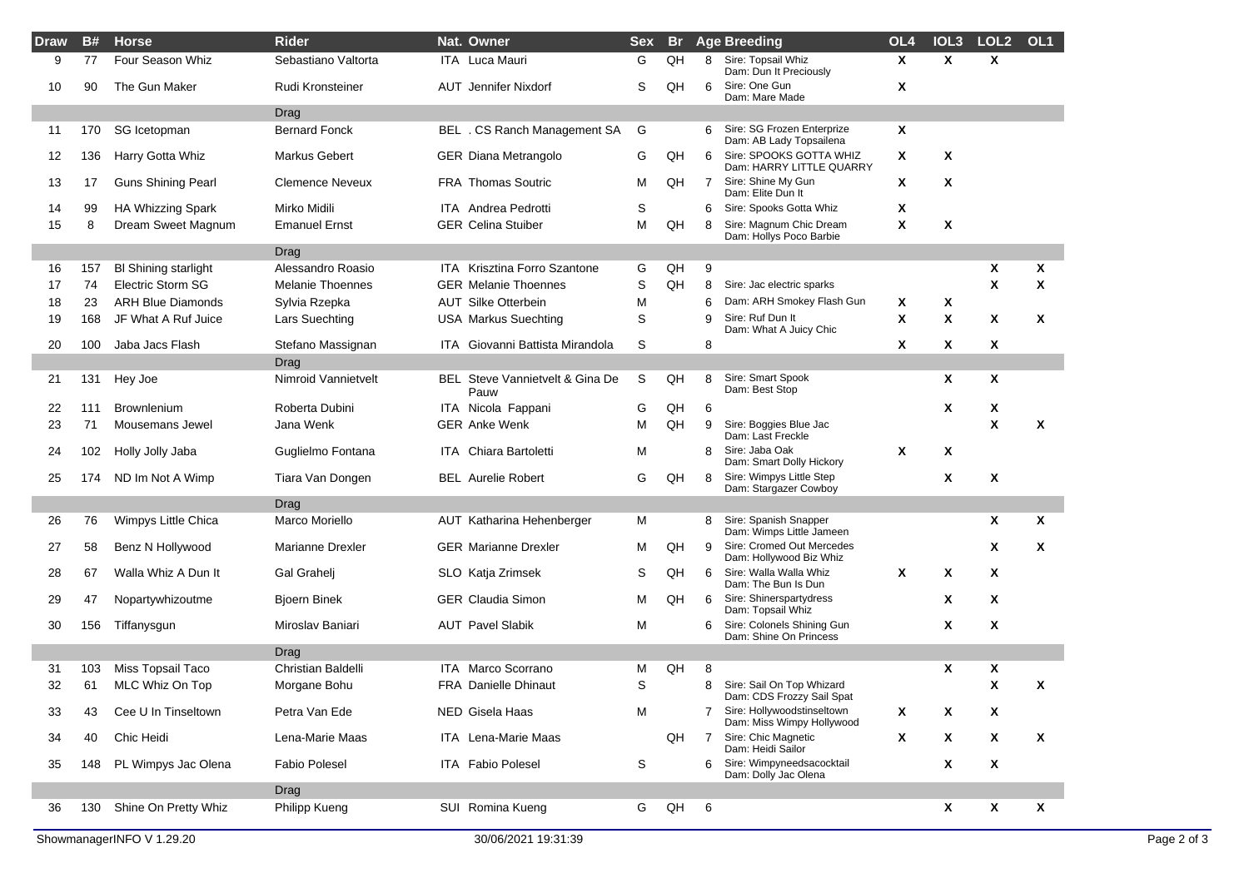| <b>Draw</b> | <b>B#</b> | <b>Horse</b>                | <b>Rider</b>            | Nat. Owner                              | <b>Sex</b> | <b>Br</b> |   | <b>Age Breeding</b>                                       | OL <sub>4</sub> | IOL <sub>3</sub> | LOL <sub>2</sub>          | OL1 |
|-------------|-----------|-----------------------------|-------------------------|-----------------------------------------|------------|-----------|---|-----------------------------------------------------------|-----------------|------------------|---------------------------|-----|
| 9           | 77        | Four Season Whiz            | Sebastiano Valtorta     | ITA Luca Mauri                          | G          | QH        | 8 | Sire: Topsail Whiz<br>Dam: Dun It Preciously              | $\mathsf{x}$    | X                | $\mathbf{x}$              |     |
| 10          | 90        | The Gun Maker               | Rudi Kronsteiner        | AUT Jennifer Nixdorf                    | S          | QH        | 6 | Sire: One Gun<br>Dam: Mare Made                           | X               |                  |                           |     |
|             |           |                             | Drag                    |                                         |            |           |   |                                                           |                 |                  |                           |     |
| 11          | 170       | SG Icetopman                | <b>Bernard Fonck</b>    | BEL . CS Ranch Management SA            | G          |           | 6 | Sire: SG Frozen Enterprize<br>Dam: AB Lady Topsailena     | X               |                  |                           |     |
| 12          | 136       | Harry Gotta Whiz            | <b>Markus Gebert</b>    | <b>GER Diana Metrangolo</b>             | G          | QH        | 6 | Sire: SPOOKS GOTTA WHIZ<br>Dam: HARRY LITTLE QUARRY       | X               | X                |                           |     |
| 13          | 17        | <b>Guns Shining Pearl</b>   | <b>Clemence Neveux</b>  | <b>FRA Thomas Soutric</b>               | M          | QH        | 7 | Sire: Shine My Gun<br>Dam: Elite Dun It                   | X               | X                |                           |     |
| 14          | 99        | HA Whizzing Spark           | Mirko Midili            | <b>ITA</b> Andrea Pedrotti              | S          |           | 6 | Sire: Spooks Gotta Whiz                                   | X               |                  |                           |     |
| 15          | 8         | Dream Sweet Magnum          | <b>Emanuel Ernst</b>    | <b>GER Celina Stuiber</b>               | M          | QH        | 8 | Sire: Magnum Chic Dream<br>Dam: Hollys Poco Barbie        | X               | X                |                           |     |
|             |           |                             | Drag                    |                                         |            |           |   |                                                           |                 |                  |                           |     |
| 16          | 157       | <b>BI Shining starlight</b> | Alessandro Roasio       | ITA Krisztina Forro Szantone            | G          | QH        | 9 |                                                           |                 |                  | X                         | Χ   |
| 17          | 74        | <b>Electric Storm SG</b>    | <b>Melanie Thoennes</b> | <b>GER Melanie Thoennes</b>             | S          | QH        | 8 | Sire: Jac electric sparks                                 |                 |                  | $\boldsymbol{\mathsf{x}}$ | X   |
| 18          | 23        | <b>ARH Blue Diamonds</b>    | Sylvia Rzepka           | <b>AUT Silke Otterbein</b>              | M          |           | 6 | Dam: ARH Smokey Flash Gun                                 | Χ               | X                |                           |     |
| 19          | 168       | JF What A Ruf Juice         | Lars Suechting          | <b>USA Markus Suechting</b>             | S          |           | 9 | Sire: Ruf Dun It<br>Dam: What A Juicy Chic                | X               | X                | X                         | X   |
| 20          | 100       | Jaba Jacs Flash             | Stefano Massignan       | ITA Giovanni Battista Mirandola         | S          |           | 8 |                                                           | X               | Χ                | X                         |     |
|             |           |                             | Drag                    |                                         |            |           |   |                                                           |                 |                  |                           |     |
| 21          | 131       | Hey Joe                     | Nimroid Vannietvelt     | BEL Steve Vannietvelt & Gina De<br>Pauw | S          | QH        | 8 | Sire: Smart Spook<br>Dam: Best Stop                       |                 | Χ                | X                         |     |
| 22          | 111       | <b>Brownlenium</b>          | Roberta Dubini          | ITA Nicola Fappani                      | G          | QH        | 6 |                                                           |                 | Χ                | X                         |     |
| 23          | 71        | Mousemans Jewel             | Jana Wenk               | <b>GER Anke Wenk</b>                    | M          | QH        | 9 | Sire: Boggies Blue Jac<br>Dam: Last Freckle               |                 |                  | $\boldsymbol{\mathsf{x}}$ | Χ   |
| 24          | 102       | Holly Jolly Jaba            | Guglielmo Fontana       | <b>ITA</b> Chiara Bartoletti            | М          |           | 8 | Sire: Jaba Oak<br>Dam: Smart Dolly Hickory                | X               | Χ                |                           |     |
| 25          | 174       | ND Im Not A Wimp            | Tiara Van Dongen        | <b>BEL</b> Aurelie Robert               | G          | QH        | 8 | Sire: Wimpys Little Step<br>Dam: Stargazer Cowboy         |                 | X                | $\boldsymbol{\mathsf{x}}$ |     |
|             |           |                             | Drag                    |                                         |            |           |   |                                                           |                 |                  |                           |     |
| 26          | 76        | Wimpys Little Chica         | Marco Moriello          | AUT Katharina Hehenberger               | м          |           | 8 | Sire: Spanish Snapper<br>Dam: Wimps Little Jameen         |                 |                  | X                         | X   |
| 27          | 58        | Benz N Hollywood            | <b>Marianne Drexler</b> | <b>GER Marianne Drexler</b>             | M          | QH        | 9 | Sire: Cromed Out Mercedes<br>Dam: Hollywood Biz Whiz      |                 |                  | X                         | X   |
| 28          | 67        | Walla Whiz A Dun It         | Gal Grahelj             | SLO Katja Zrimsek                       | S          | QH        | 6 | Sire: Walla Walla Whiz<br>Dam: The Bun Is Dun             | X               | Χ                | X                         |     |
| 29          | 47        | Nopartywhizoutme            | <b>Bjoern Binek</b>     | <b>GER Claudia Simon</b>                | M          | QH        | 6 | Sire: Shinerspartydress<br>Dam: Topsail Whiz              |                 | Χ                | X                         |     |
| 30          | 156       | Tiffanysgun                 | Miroslav Baniari        | <b>AUT Pavel Slabik</b>                 | М          |           | 6 | Sire: Colonels Shining Gun<br>Dam: Shine On Princess      |                 | X                | $\mathbf{x}$              |     |
|             |           |                             | Drag                    |                                         |            |           |   |                                                           |                 |                  |                           |     |
| 31          | 103       | Miss Topsail Taco           | Christian Baldelli      | ITA Marco Scorrano                      | M          | QH        | 8 |                                                           |                 | Χ                | X                         |     |
| 32          | 61        | MLC Whiz On Top             | Morgane Bohu            | <b>FRA Danielle Dhinaut</b>             | S          |           | 8 | Sire: Sail On Top Whizard<br>Dam: CDS Frozzy Sail Spat    |                 |                  | X                         | X   |
| 33          | 43        | Cee U In Tinseltown         | Petra Van Ede           | NED Gisela Haas                         | M          |           |   | 7 Sire: Hollywoodstinseltown<br>Dam: Miss Wimpy Hollywood | X               | X                | X                         |     |
| 34          | 40        | Chic Heidi                  | Lena-Marie Maas         | <b>ITA</b> Lena-Marie Maas              |            | QH        | 7 | Sire: Chic Magnetic<br>Dam: Heidi Sailor                  | X               | X                | X                         | X   |
| 35          | 148       | PL Wimpys Jac Olena         | <b>Fabio Polesel</b>    | ITA Fabio Polesel                       | S          |           | 6 | Sire: Wimpyneedsacocktail<br>Dam: Dolly Jac Olena         |                 | X                | X                         |     |
|             |           |                             | Drag                    |                                         |            |           |   |                                                           |                 |                  |                           |     |
| 36          | 130       | Shine On Pretty Whiz        | Philipp Kueng           | SUI Romina Kueng                        | G          | QH        | 6 |                                                           |                 | X                | X                         | Χ   |